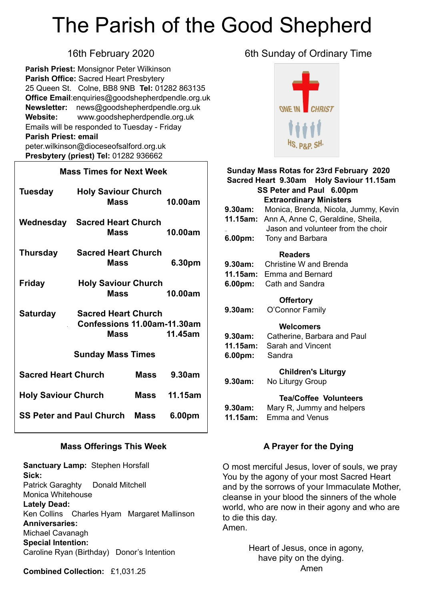# The Parish of the Good Shepherd

**Parish Priest:** Monsignor Peter Wilkinson **Parish Office:** Sacred Heart Presbytery 25 Queen St. Colne, BB8 9NB **Tel:** 01282 863135 **Office Email**[:enquiries@goodshepherdpendle.org.uk](mailto:enquiries@goodshepherdpendle.org.uk) **Newsletter:** news@goodshepherdpendle.org.uk **Website:** www.goodshepherdpendle.org.uk Emails will be responded to Tuesday - Friday **Parish Priest: email**  [peter.wilkinson@dioceseofsalford.org.uk](mailto:Emailpeter.wilkinson@dioceseofsalford.org.uk) **Presbytery (priest) Tel:** 01282 936662

#### **Mass Times for Next Week**

| Tuesday                         | <b>Holy Saviour Church</b><br>Mass                                                  |             | 10.00am |  |
|---------------------------------|-------------------------------------------------------------------------------------|-------------|---------|--|
| Wednesday                       | <b>Sacred Heart Church</b><br>Mass                                                  |             | 10.00am |  |
| <b>Thursday</b>                 | <b>Sacred Heart Church</b><br><b>Mass</b>                                           |             | 6.30pm  |  |
| <b>Friday</b>                   | <b>Holy Saviour Church</b><br>Mass                                                  |             | 10.00am |  |
| <b>Saturday</b>                 | <b>Sacred Heart Church</b><br>Confessions 11.00am-11.30am<br><b>Mass</b><br>11.45am |             |         |  |
| <b>Sunday Mass Times</b>        |                                                                                     |             |         |  |
| <b>Sacred Heart Church</b>      |                                                                                     | <b>Mass</b> | 9.30am  |  |
| <b>Holy Saviour Church</b>      |                                                                                     | Mass        | 11.15am |  |
| <b>SS Peter and Paul Church</b> | Mass                                                                                | 6.00pm      |         |  |

#### **Mass Offerings This Week**

**Sanctuary Lamp:** Stephen Horsfall **Sick:** Patrick Garaghty Donald Mitchell Monica Whitehouse **Lately Dead:**  Ken Collins Charles Hyam Margaret Mallinson **Anniversaries:** Michael Cavanagh **Special Intention:** Caroline Ryan (Birthday) Donor's Intention

16th February 2020 **6th Sunday of Ordinary Time** 



|                                          | Sunday Mass Rotas for 23rd February 2020   |  |  |
|------------------------------------------|--------------------------------------------|--|--|
| Sacred Heart 9.30am Holy Saviour 11.15am |                                            |  |  |
| SS Peter and Paul 6.00pm                 |                                            |  |  |
| <b>Extraordinary Ministers</b>           |                                            |  |  |
| 9.30am:                                  | Monica, Brenda, Nicola, Jummy, Kevin       |  |  |
|                                          | 11.15am: Ann A, Anne C, Geraldine, Sheila, |  |  |
|                                          | Jason and volunteer from the choir         |  |  |
| 6.00pm:                                  | Tony and Barbara                           |  |  |
| <b>Readers</b>                           |                                            |  |  |
| 9.30am:                                  | Christine W and Brenda                     |  |  |
|                                          | <b>11.15am:</b> Emma and Bernard           |  |  |
| 6.00pm:                                  | Cath and Sandra                            |  |  |
|                                          |                                            |  |  |
| <b>Offertory</b>                         |                                            |  |  |
| 9.30am:                                  | O'Connor Family                            |  |  |
| Welcomers                                |                                            |  |  |
| 9.30am:                                  | Catherine, Barbara and Paul                |  |  |
| 11.15am:                                 | Sarah and Vincent                          |  |  |
| 6.00pm:                                  | Sandra                                     |  |  |
|                                          |                                            |  |  |
|                                          | <b>Children's Liturgy</b>                  |  |  |
| 9.30am:                                  | No Liturgy Group                           |  |  |
| <b>Tea/Coffee Volunteers</b>             |                                            |  |  |
| 9.30am:                                  | Mary R, Jummy and helpers                  |  |  |
| 11.15am:                                 | Emma and Venus                             |  |  |

### **A Prayer for the Dying**

O most merciful Jesus, lover of souls, we pray You by the agony of your most Sacred Heart and by the sorrows of your Immaculate Mother, cleanse in your blood the sinners of the whole world, who are now in their agony and who are to die this day. Amen.

> Heart of Jesus, once in agony, have pity on the dying. Amen

**Combined Collection:** £1,031.25